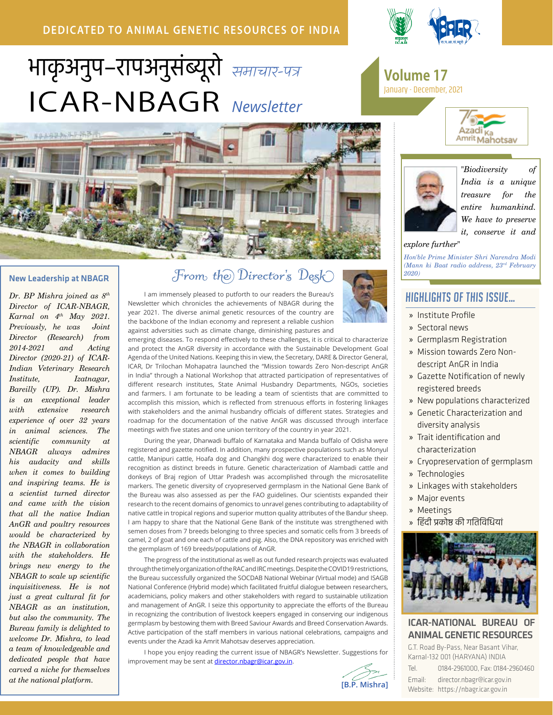# **DEDICATED TO ANIMAL GENETIC RESOURCES OF INDIA**





#### New Leadership at NBAGR

*Dr. BP Mishra joined as 8th Director of ICAR-NBAGR, Karnal on 4th May 2021. Previously, he was Joint Director (Research) from 2014-2021 and Acting Director (2020-21) of ICAR-Indian Veterinary Research Institute, Izatnagar, Bareilly (UP). Dr. Mishra is an exceptional leader with extensive research experience of over 32 years in animal sciences. The scientific community at NBAGR always admires his audacity and skills when it comes to building and inspiring teams. He is a scientist turned director and came with the vision that all the native Indian AnGR and poultry resources would be characterized by the NBAGR in collaboration with the stakeholders. He brings new energy to the NBAGR to scale up scientific inquisitiveness. He is not just a great cultural fit for NBAGR as an institution, but also the community. The Bureau family is delighted to welcome Dr. Mishra, to lead a team of knowledgeable and dedicated people that have carved a niche for themselves at the national platform.*

# *From the Director's Desk*

I am immensely pleased to putforth to our readers the Bureau's Newsletter which chronicles the achievements of NBAGR during the year 2021. The diverse animal genetic resources of the country are the backbone of the Indian economy and represent a reliable cushion against adversities such as climate change, diminishing pastures and



emerging diseases. To respond effectively to these challenges, it is critical to characterize and protect the AnGR diversity in accordance with the Sustainable Development Goal Agenda of the United Nations. Keeping this in view, the Secretary, DARE & Director General, ICAR, Dr Trilochan Mohapatra launched the "Mission towards Zero Non-descript AnGR in India" through a National Workshop that attracted participation of representatives of different research institutes, State Animal Husbandry Departments, NGOs, societies and farmers. I am fortunate to be leading a team of scientists that are committed to accomplish this mission, which is reflected from strenuous efforts in fostering linkages with stakeholders and the animal husbandry officials of different states. Strategies and roadmap for the documentation of the native AnGR was discussed through interface meetings with five states and one union territory of the country in year 2021.

During the year, Dharwadi buffalo of Karnataka and Manda buffalo of Odisha were registered and gazette notified. In addition, many prospective populations such as Monyul cattle, Manipuri cattle, Hoafa dog and Changkhi dog were characterized to enable their recognition as distinct breeds in future. Genetic characterization of Alambadi cattle and donkeys of Braj region of Uttar Pradesh was accomplished through the microsatellite markers. The genetic diversity of cryopreserved germplasm in the National Gene Bank of the Bureau was also assessed as per the FAO guidelines. Our scientists expanded their research to the recent domains of genomics to unravel genes contributing to adaptability of native cattle in tropical regions and superior mutton quality attributes of the Bandur sheep. I am happy to share that the National Gene Bank of the institute was strengthened with semen doses from 7 breeds belonging to three species and somatic cells from 3 breeds of camel, 2 of goat and one each of cattle and pig. Also, the DNA repository was enriched with the germplasm of 169 breeds/populations of AnGR.

The progress of the institutional as well as out funded research projects was evaluated through the timely organization of the RAC and IRC meetings. Despite the COVID19 restrictions, the Bureau successfully organized the SOCDAB National Webinar (Virtual mode) and ISAGB National Conference (Hybrid mode) which facilitated fruitful dialogue between researchers, academicians, policy makers and other stakeholders with regard to sustainable utilization and management of AnGR. I seize this opportunity to appreciate the efforts of the Bureau in recognizing the contribution of livestock keepers engaged in conserving our indigenous germplasm by bestowing them with Breed Saviour Awards and Breed Conservation Awards. Active participation of the staff members in various national celebrations, campaigns and events under the Azadi ka Amrit Mahotsav deserves appreciation.

I hope you enjoy reading the current issue of NBAGR's Newsletter. Suggestions for improvement may be sent at director.nbagr@icar.gov.in.





# **Volume 17**<br>January - December, 2021





*"Biodiversity of India is a unique treasure for the entire humankind. We have to preserve it, conserve it and* 

#### *explore further"*

*Hon'ble Prime Minister Shri Narendra Modi (Mann ki Baat radio address, 23rd February 2020)*

# Highlights of this Issue…

- » Institute Profile
- » Sectoral news
- » Germplasm Registration
- » Mission towards Zero Nondescript AnGR in India
- » Gazette Notification of newly registered breeds
- » New populations characterized
- » Genetic Characterization and diversity analysis
- » Trait identification and characterization
- » Cryopreservation of germplasm
- » Technologies
- » Linkages with stakeholders
- » Major events
- » Meetings
- » हिंदी प्रकोष्ठ की गतिविधियां



#### ICAR-NATIONAL BUREAU OF ANIMAL GENETIC RESOURCES

G.T. Road By-Pass, Near Basant Vihar, Karnal-132 001 (HARYANA) INDIA

Tel. 0184-2961000, Fax: 0184-2960460 Email: director.nbagr@icar.gov.in Website: https://nbagr.icar.gov.in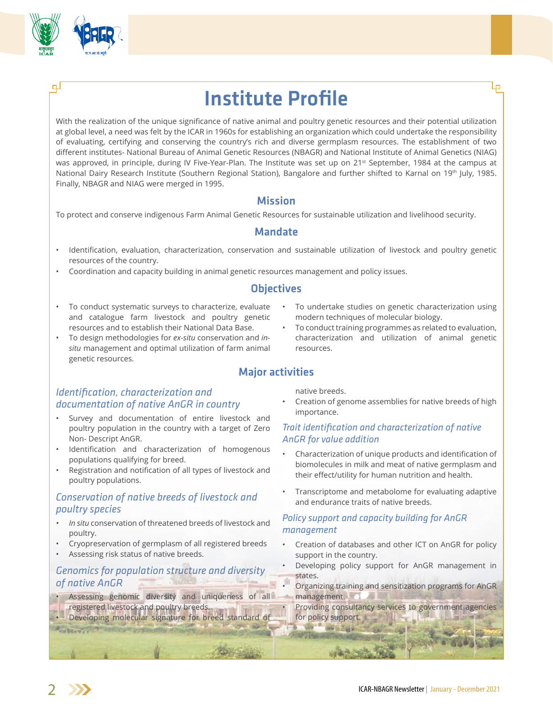

ᆗ

# Institute Profile

With the realization of the unique significance of native animal and poultry genetic resources and their potential utilization at global level, a need was felt by the ICAR in 1960s for establishing an organization which could undertake the responsibility of evaluating, certifying and conserving the country's rich and diverse germplasm resources. The establishment of two different institutes- National Bureau of Animal Genetic Resources (NBAGR) and National Institute of Animal Genetics (NIAG) was approved, in principle, during IV Five-Year-Plan. The Institute was set up on 21st September, 1984 at the campus at National Dairy Research Institute (Southern Regional Station), Bangalore and further shifted to Karnal on 19th July, 1985. Finally, NBAGR and NIAG were merged in 1995.

### Mission

To protect and conserve indigenous Farm Animal Genetic Resources for sustainable utilization and livelihood security.

# Mandate

- Identification, evaluation, characterization, conservation and sustainable utilization of livestock and poultry genetic resources of the country.
- Coordination and capacity building in animal genetic resources management and policy issues.

# **Objectives**

Major activities

- To conduct systematic surveys to characterize, evaluate and catalogue farm livestock and poultry genetic resources and to establish their National Data Base.
- To design methodologies for *ex-situ* conservation and *insitu* management and optimal utilization of farm animal genetic resources.

# *Identification, characterization and documentation of native AnGR in country*

- Survey and documentation of entire livestock and poultry population in the country with a target of Zero Non- Descript AnGR.
- Identification and characterization of homogenous populations qualifying for breed.
- Registration and notification of all types of livestock and poultry populations.

# *Conservation of native breeds of livestock and poultry species*

- *• In situ* conservation of threatened breeds of livestock and poultry.
- Cryopreservation of germplasm of all registered breeds
- Assessing risk status of native breeds.

### *Genomics for population structure and diversity of native AnGR*

- Assessing genomic diversity and uniqueness of all registered livestock and poultry breeds.
- Developing molecular signature for breed standard of

To undertake studies on genetic characterization using modern techniques of molecular biology.

Lр

• To conduct training programmes as related to evaluation, characterization and utilization of animal genetic resources.

native breeds.

• Creation of genome assemblies for native breeds of high importance.

### *Trait identification and characterization of native AnGR for value addition*

- Characterization of unique products and identification of biomolecules in milk and meat of native germplasm and their effect/utility for human nutrition and health.
- Transcriptome and metabolome for evaluating adaptive and endurance traits of native breeds.

#### *Policy support and capacity building for AnGR management*

**SHERMAN** 

- Creation of databases and other ICT on AnGR for policy support in the country.
- Developing policy support for AnGR management in states.
- Organizing training and sensitization programs for AnGR management.

Providing consultancy services to government agencies for policy support.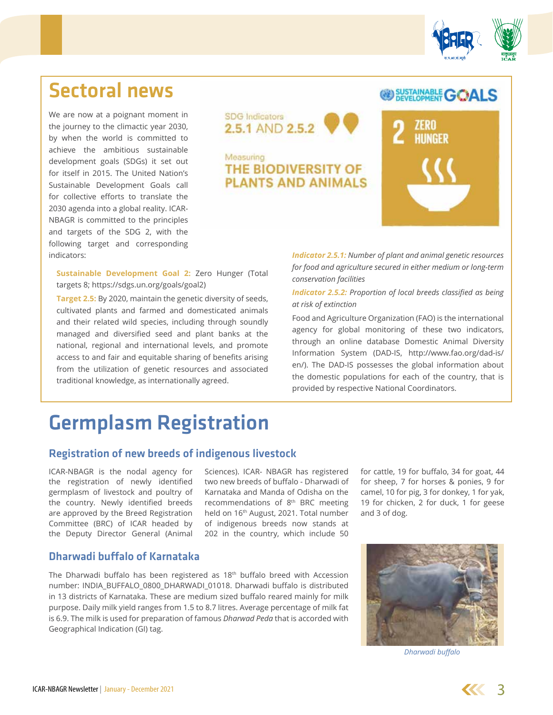

**@ SUSTAINABLE GOALS** 

# Sectoral news

We are now at a poignant moment in the journey to the climactic year 2030, by when the world is committed to achieve the ambitious sustainable development goals (SDGs) it set out for itself in 2015. The United Nation's Sustainable Development Goals call for collective efforts to translate the 2030 agenda into a global reality. ICAR-NBAGR is committed to the principles and targets of the SDG 2, with the following target and corresponding indicators:



Measuring THE BIODIVERSITY OF **PLANTS AND ANIMALS** 

**Sustainable Development Goal 2:** Zero Hunger (Total targets 8; https://sdgs.un.org/goals/goal2)

**Target 2.5:** By 2020, maintain the genetic diversity of seeds, cultivated plants and farmed and domesticated animals and their related wild species, including through soundly managed and diversified seed and plant banks at the national, regional and international levels, and promote access to and fair and equitable sharing of benefits arising from the utilization of genetic resources and associated traditional knowledge, as internationally agreed.

*Indicator 2.5.1: Number of plant and animal genetic resources for food and agriculture secured in either medium or long-term conservation facilities* 

*Indicator 2.5.2: Proportion of local breeds classified as being at risk of extinction*

Food and Agriculture Organization (FAO) is the international agency for global monitoring of these two indicators, through an online database Domestic Animal Diversity Information System (DAD-IS, http://www.fao.org/dad-is/ en/). The DAD-IS possesses the global information about the domestic populations for each of the country, that is provided by respective National Coordinators.

# Germplasm Registration

### Registration of new breeds of indigenous livestock

ICAR-NBAGR is the nodal agency for the registration of newly identified germplasm of livestock and poultry of the country. Newly identified breeds are approved by the Breed Registration Committee (BRC) of ICAR headed by the Deputy Director General (Animal

Sciences). ICAR- NBAGR has registered two new breeds of buffalo - Dharwadi of Karnataka and Manda of Odisha on the recommendations of 8th BRC meeting held on 16<sup>th</sup> August, 2021. Total number of indigenous breeds now stands at 202 in the country, which include 50

for cattle, 19 for buffalo, 34 for goat, 44 for sheep, 7 for horses & ponies, 9 for camel, 10 for pig, 3 for donkey, 1 for yak, 19 for chicken, 2 for duck, 1 for geese and 3 of dog.

### Dharwadi buffalo of Karnataka

The Dharwadi buffalo has been registered as 18<sup>th</sup> buffalo breed with Accession number: INDIA\_BUFFALO\_0800\_DHARWADI\_01018. Dharwadi buffalo is distributed in 13 districts of Karnataka. These are medium sized buffalo reared mainly for milk purpose. Daily milk yield ranges from 1.5 to 8.7 litres. Average percentage of milk fat is 6.9. The milk is used for preparation of famous *Dharwad Peda* that is accorded with Geographical Indication (GI) tag.



*Dharwadi buffalo*

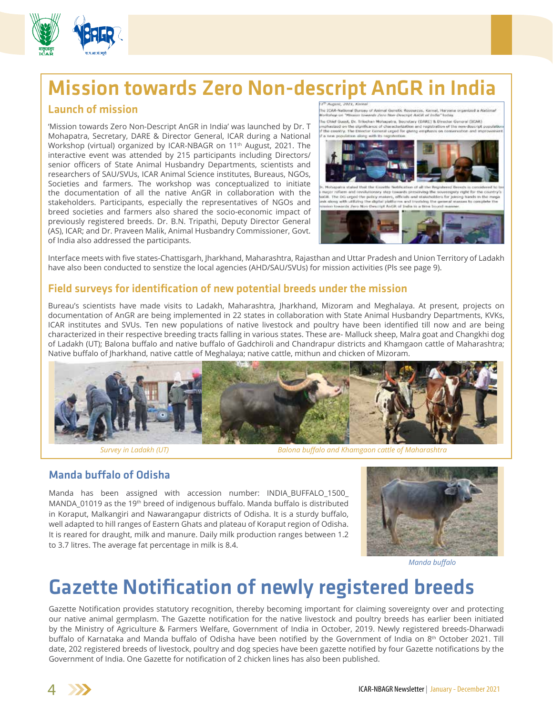# Mission towards Zero Non-descript AnGR in India

# Launch of mission

'Mission towards Zero Non-Descript AnGR in India' was launched by Dr. T Mohapatra, Secretary, DARE & Director General, ICAR during a National Workshop (virtual) organized by ICAR-NBAGR on 11<sup>th</sup> August, 2021. The interactive event was attended by 215 participants including Directors/ senior officers of State Animal Husbandry Departments, scientists and researchers of SAU/SVUs, ICAR Animal Science institutes, Bureaus, NGOs, Societies and farmers. The workshop was conceptualized to initiate the documentation of all the native AnGR in collaboration with the stakeholders. Participants, especially the representatives of NGOs and breed societies and farmers also shared the socio-economic impact of previously registered breeds. Dr. B.N. Tripathi, Deputy Director General (AS), ICAR; and Dr. Praveen Malik, Animal Husbandry Commissioner, Govt. of India also addressed the participants.

.<br>The ICAR-National Bureau of Asimul Genetic Rosources. Kansal, Haryana organized a Alation<br>Workshee on "Mission towards Zeno Ren-Descript Antili of India" today. .<br>The Chief Guest, Dr. Tribuhan Mohapatra, Socrotary (DARE) & Director Goneral (ICAR)<br>mphesized on the significance of characterization and registration of the non-descript i on the st<br>I'y: The Di , mosquare essex met nevieure, startes venezure or en ree regionalist<br>Will, The DG urged the policy maters, officials and statisticable<br>Will, The DG urged the policy maters, officials and statisticable<br>wike abong with util the sovereignty right for the count<br>cholders for joining luisds in the m<br>I the general masses to complete t Is Zero Non-De tied Andill of India



Interface meets with five states-Chattisgarh, Jharkhand, Maharashtra, Rajasthan and Uttar Pradesh and Union Territory of Ladakh have also been conducted to senstize the local agencies (AHD/SAU/SVUs) for mission activities (Pls see page 9).

# Field surveys for identification of new potential breeds under the mission

Bureau's scientists have made visits to Ladakh, Maharashtra, Jharkhand, Mizoram and Meghalaya. At present, projects on documentation of AnGR are being implemented in 22 states in collaboration with State Animal Husbandry Departments, KVKs, ICAR institutes and SVUs. Ten new populations of native livestock and poultry have been identified till now and are being characterized in their respective breeding tracts falling in various states. These are- Malluck sheep, Malra goat and Changkhi dog of Ladakh (UT); Balona buffalo and native buffalo of Gadchiroli and Chandrapur districts and Khamgaon cattle of Maharashtra; Native buffalo of Jharkhand, native cattle of Meghalaya; native cattle, mithun and chicken of Mizoram.



*Survey in Ladakh (UT) Balona buffalo and Khamgaon cattle of Maharashtra*

# Manda buffalo of Odisha

Manda has been assigned with accession number: INDIA\_BUFFALO\_1500\_ MANDA\_01019 as the 19<sup>th</sup> breed of indigenous buffalo. Manda buffalo is distributed in Koraput, Malkangiri and Nawarangapur districts of Odisha. It is a sturdy buffalo, well adapted to hill ranges of Eastern Ghats and plateau of Koraput region of Odisha. It is reared for draught, milk and manure. Daily milk production ranges between 1.2 to 3.7 litres. The average fat percentage in milk is 8.4.



*Manda buffalo*

# Gazette Notification of newly registered breeds

Gazette Notification provides statutory recognition, thereby becoming important for claiming sovereignty over and protecting our native animal germplasm. The Gazette notification for the native livestock and poultry breeds has earlier been initiated by the Ministry of Agriculture & Farmers Welfare, Government of India in October, 2019. Newly registered breeds-Dharwadi buffalo of Karnataka and Manda buffalo of Odisha have been notified by the Government of India on 8<sup>th</sup> October 2021. Till date, 202 registered breeds of livestock, poultry and dog species have been gazette notified by four Gazette notifications by the Government of India. One Gazette for notification of 2 chicken lines has also been published.

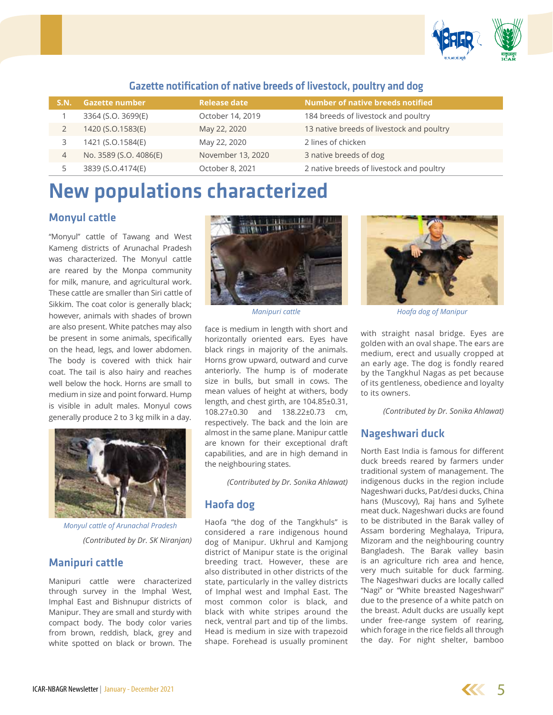

| <b>S.N.</b>    | <b>Gazette number</b>  | <b>Release date</b> | Number of native breeds notified          |
|----------------|------------------------|---------------------|-------------------------------------------|
|                | 3364 (S.O. 3699(E)     | October 14, 2019    | 184 breeds of livestock and poultry       |
|                | 1420 (S.O.1583(E)      | May 22, 2020        | 13 native breeds of livestock and poultry |
| 3              | 1421 (S.O.1584(E)      | May 22, 2020        | 2 lines of chicken                        |
| $\overline{4}$ | No. 3589 (S.O. 4086(E) | November 13, 2020   | 3 native breeds of dog                    |
|                | 3839 (S.O.4174(E)      | October 8, 2021     | 2 native breeds of livestock and poultry  |

# Gazette notification of native breeds of livestock, poultry and dog

# New populations characterized

# Monyul cattle

"Monyul" cattle of Tawang and West Kameng districts of Arunachal Pradesh was characterized. The Monyul cattle are reared by the Monpa community for milk, manure, and agricultural work. These cattle are smaller than Siri cattle of Sikkim. The coat color is generally black; however, animals with shades of brown are also present. White patches may also be present in some animals, specifically on the head, legs, and lower abdomen. The body is covered with thick hair coat. The tail is also hairy and reaches well below the hock. Horns are small to medium in size and point forward. Hump is visible in adult males. Monyul cows generally produce 2 to 3 kg milk in a day.



*(Contributed by Dr. SK Niranjan) Monyul cattle of Arunachal Pradesh*

### Manipuri cattle

Manipuri cattle were characterized through survey in the Imphal West, Imphal East and Bishnupur districts of Manipur. They are small and sturdy with compact body. The body color varies from brown, reddish, black, grey and white spotted on black or brown. The



face is medium in length with short and horizontally oriented ears. Eyes have black rings in majority of the animals. Horns grow upward, outward and curve anteriorly. The hump is of moderate size in bulls, but small in cows. The mean values of height at withers, body length, and chest girth, are 104.85±0.31, 108.27±0.30 and 138.22±0.73 cm, respectively. The back and the loin are almost in the same plane. Manipur cattle are known for their exceptional draft capabilities, and are in high demand in the neighbouring states.

*(Contributed by Dr. Sonika Ahlawat)*

# Haofa dog

Haofa "the dog of the Tangkhuls" is considered a rare indigenous hound dog of Manipur. Ukhrul and Kamjong district of Manipur state is the original breeding tract. However, these are also distributed in other districts of the state, particularly in the valley districts of Imphal west and Imphal East. The most common color is black, and black with white stripes around the neck, ventral part and tip of the limbs. Head is medium in size with trapezoid shape. Forehead is usually prominent



*Manipuri cattle Hoafa dog of Manipur*

with straight nasal bridge. Eyes are golden with an oval shape. The ears are medium, erect and usually cropped at an early age. The dog is fondly reared by the Tangkhul Nagas as pet because of its gentleness, obedience and loyalty to its owners.

*(Contributed by Dr. Sonika Ahlawat)*

### Nageshwari duck

North East India is famous for different duck breeds reared by farmers under traditional system of management. The indigenous ducks in the region include Nageshwari ducks, Pat/desi ducks, China hans (Muscovy), Raj hans and Sylhete meat duck. Nageshwari ducks are found to be distributed in the Barak valley of Assam bordering Meghalaya, Tripura, Mizoram and the neighbouring country Bangladesh. The Barak valley basin is an agriculture rich area and hence, very much suitable for duck farming. The Nageshwari ducks are locally called "Nagi" or "White breasted Nageshwari" due to the presence of a white patch on the breast. Adult ducks are usually kept under free-range system of rearing, which forage in the rice fields all through the day. For night shelter, bamboo

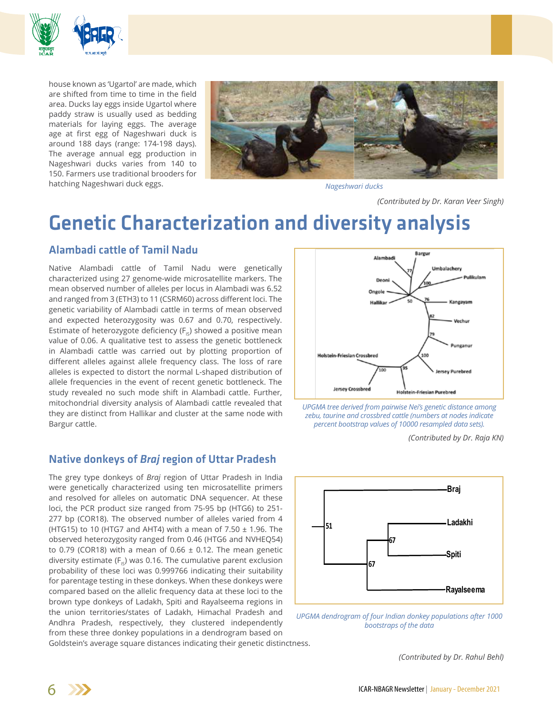

house known as 'Ugartol' are made, which are shifted from time to time in the field area. Ducks lay eggs inside Ugartol where paddy straw is usually used as bedding materials for laying eggs. The average age at first egg of Nageshwari duck is around 188 days (range: 174-198 days). The average annual egg production in Nageshwari ducks varies from 140 to 150. Farmers use traditional brooders for hatching Nageshwari duck eggs.



*Nageshwari ducks*

*(Contributed by Dr. Karan Veer Singh)*

# Genetic Characterization and diversity analysis

# Alambadi cattle of Tamil Nadu

Native Alambadi cattle of Tamil Nadu were genetically characterized using 27 genome-wide microsatellite markers. The mean observed number of alleles per locus in Alambadi was 6.52 and ranged from 3 (ETH3) to 11 (CSRM60) across different loci. The genetic variability of Alambadi cattle in terms of mean observed and expected heterozygosity was 0.67 and 0.70, respectively. Estimate of heterozygote deficiency  $(F_{15})$  showed a positive mean value of 0.06. A qualitative test to assess the genetic bottleneck in Alambadi cattle was carried out by plotting proportion of different alleles against allele frequency class. The loss of rare alleles is expected to distort the normal L-shaped distribution of allele frequencies in the event of recent genetic bottleneck. The study revealed no such mode shift in Alambadi cattle. Further, mitochondrial diversity analysis of Alambadi cattle revealed that they are distinct from Hallikar and cluster at the same node with Bargur cattle.

# Native donkeys of *Braj* region of Uttar Pradesh

The grey type donkeys of *Braj* region of Uttar Pradesh in India were genetically characterized using ten microsatellite primers and resolved for alleles on automatic DNA sequencer. At these loci, the PCR product size ranged from 75-95 bp (HTG6) to 251- 277 bp (COR18). The observed number of alleles varied from 4 (HTG15) to 10 (HTG7 and AHT4) with a mean of  $7.50 \pm 1.96$ . The observed heterozygosity ranged from 0.46 (HTG6 and NVHEQ54) to 0.79 (COR18) with a mean of 0.66  $\pm$  0.12. The mean genetic diversity estimate ( $F_{1s}$ ) was 0.16. The cumulative parent exclusion probability of these loci was 0.999766 indicating their suitability for parentage testing in these donkeys. When these donkeys were compared based on the allelic frequency data at these loci to the brown type donkeys of Ladakh, Spiti and Rayalseema regions in the union territories/states of Ladakh, Himachal Pradesh and Andhra Pradesh, respectively, they clustered independently from these three donkey populations in a dendrogram based on





*(Contributed by Dr. Raja KN)*



UPGMA dendrogram of four Indian donkey populations after 1000 *bootstraps of the data*

Goldstein's average square distances indicating their genetic distinctness.

*(Contributed by Dr. Rahul Behl)* **Evaluation of genetic diversity in** *ex-situ* **conserved cattle and buffalo bulls**

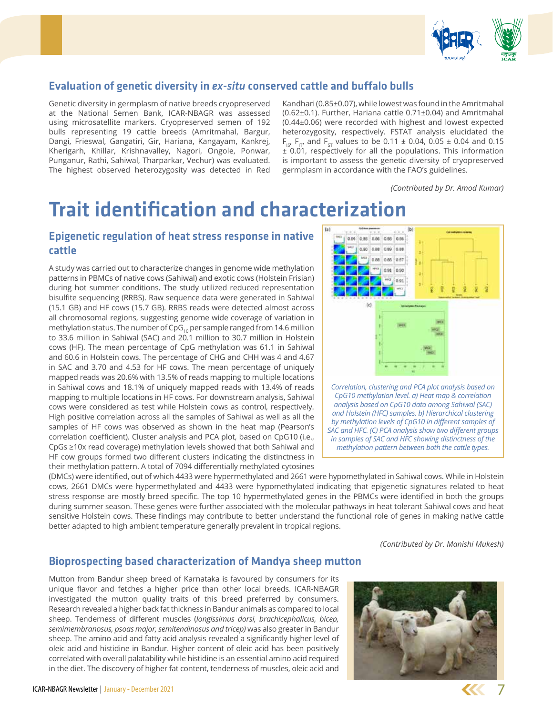

# Evaluation of genetic diversity in *ex-situ* conserved cattle and buffalo bulls

Genetic diversity in germplasm of native breeds cryopreserved at the National Semen Bank, ICAR-NBAGR was assessed using microsatellite markers. Cryopreserved semen of 192 bulls representing 19 cattle breeds (Amritmahal, Bargur, Dangi, Frieswal, Gangatiri, Gir, Hariana, Kangayam, Kankrej, Kherigarh, Khillar, Krishnavalley, Nagori, Ongole, Ponwar, Punganur, Rathi, Sahiwal, Tharparkar, Vechur) was evaluated. The highest observed heterozygosity was detected in Red Kandhari (0.85±0.07), while lowest was found in the Amritmahal (0.62±0.1). Further, Hariana cattle 0.71±0.04) and Amritmahal (0.44±0.06) were recorded with highest and lowest expected heterozygosity, respectively. FSTAT analysis elucidated the  $F_{15}$ ,  $F_{15}$ , and  $F_{5}$  values to be 0.11  $\pm$  0.04, 0.05  $\pm$  0.04 and 0.15  $\pm$  0.01, respectively for all the populations. This information is important to assess the genetic diversity of cryopreserved germplasm in accordance with the FAO's guidelines.

*(Contributed by Dr. Amod Kumar)*

# Trait identification and characterization

# Epigenetic regulation of heat stress response in native cattle

A study was carried out to characterize changes in genome wide methylation patterns in PBMCs of native cows (Sahiwal) and exotic cows (Holstein Frisian) during hot summer conditions. The study utilized reduced representation bisulfite sequencing (RRBS). Raw sequence data were generated in Sahiwal (15.1 GB) and HF cows (15.7 GB). RRBS reads were detected almost across all chromosomal regions, suggesting genome wide coverage of variation in methylation status. The number of  $CpG_{10}$  per sample ranged from 14.6 million to 33.6 million in Sahiwal (SAC) and 20.1 million to 30.7 million in Holstein cows (HF). The mean percentage of CpG methylation was 61.1 in Sahiwal and 60.6 in Holstein cows. The percentage of CHG and CHH was 4 and 4.67 in SAC and 3.70 and 4.53 for HF cows. The mean percentage of uniquely mapped reads was 20.6% with 13.5% of reads mapping to multiple locations in Sahiwal cows and 18.1% of uniquely mapped reads with 13.4% of reads mapping to multiple locations in HF cows. For downstream analysis, Sahiwal cows were considered as test while Holstein cows as control, respectively. High positive correlation across all the samples of Sahiwal as well as all the samples of HF cows was observed as shown in the heat map (Pearson's correlation coefficient). Cluster analysis and PCA plot, based on CpG10 (i.e., CpGs ≥10x read coverage) methylation levels showed that both Sahiwal and HF cow groups formed two different clusters indicating the distinctness in their methylation pattern. A total of 7094 differentially methylated cytosines



(DMCs) were identified, out of which 4433 were hypermethylated and 2661 were hypomethylated in Sahiwal cows. While in Holstein cows, 2661 DMCs were hypermethylated and 4433 were hypomethylated indicating that epigenetic signatures related to heat stress response are mostly breed specific. The top 10 hypermethylated genes in the PBMCs were identified in both the groups during summer season. These genes were further associated with the molecular pathways in heat tolerant Sahiwal cows and heat sensitive Holstein cows. These findings may contribute to better understand the functional role of genes in making native cattle better adapted to high ambient temperature generally prevalent in tropical regions.

*(Contributed by Dr. Manishi Mukesh)*

## Bioprospecting based characterization of Mandya sheep mutton

Mutton from Bandur sheep breed of Karnataka is favoured by consumers for its unique flavor and fetches a higher price than other local breeds. ICAR-NBAGR investigated the mutton quality traits of this breed preferred by consumers. Research revealed a higher back fat thickness in Bandur animals as compared to local sheep. Tenderness of different muscles (*longissimus dorsi, brachicephalicus, bicep, semimembranosus, psoas major, semitendinosus and tricep)* was also greater in Bandur sheep. The amino acid and fatty acid analysis revealed a significantly higher level of oleic acid and histidine in Bandur. Higher content of oleic acid has been positively correlated with overall palatability while histidine is an essential amino acid required in the diet. The discovery of higher fat content, tenderness of muscles, oleic acid and

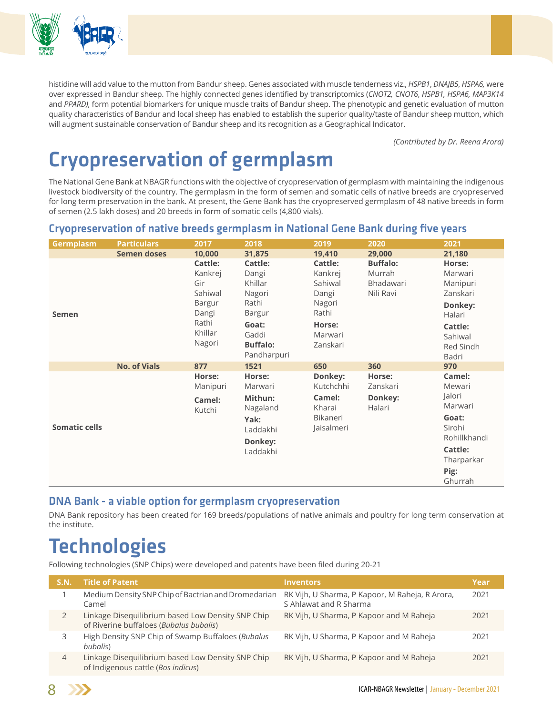

histidine will add value to the mutton from Bandur sheep. Genes associated with muscle tenderness viz., *HSPB1*, *DNAJB5*, *HSPA6,* were over expressed in Bandur sheep. The highly connected genes identified by transcriptomics (*CNOT2, CNOT6*, *HSPB1, HSPA6, MAP3K14*  and *PPARD)*, form potential biomarkers for unique muscle traits of Bandur sheep. The phenotypic and genetic evaluation of mutton quality characteristics of Bandur and local sheep has enabled to establish the superior quality/taste of Bandur sheep mutton, which will augment sustainable conservation of Bandur sheep and its recognition as a Geographical Indicator.

*(Contributed by Dr. Reena Arora)*

# Cryopreservation of germplasm

The National Gene Bank at NBAGR functions with the objective of cryopreservation of germplasm with maintaining the indigenous livestock biodiversity of the country. The germplasm in the form of semen and somatic cells of native breeds are cryopreserved for long term preservation in the bank. At present, the Gene Bank has the cryopreserved germplasm of 48 native breeds in form of semen (2.5 lakh doses) and 20 breeds in form of somatic cells (4,800 vials).

### Cryopreservation of native breeds germplasm in National Gene Bank during five years

| <b>Germplasm</b>     | <b>Particulars</b>  | 2017                                                                                                | 2018                                                                                                                       | 2019                                                                                       | 2020                                                | 2021                                                                                                       |
|----------------------|---------------------|-----------------------------------------------------------------------------------------------------|----------------------------------------------------------------------------------------------------------------------------|--------------------------------------------------------------------------------------------|-----------------------------------------------------|------------------------------------------------------------------------------------------------------------|
|                      | <b>Semen doses</b>  | 10,000                                                                                              | 31,875                                                                                                                     | 19,410                                                                                     | 29,000                                              | 21,180                                                                                                     |
| <b>Semen</b>         |                     | <b>Cattle:</b><br>Kankrej<br>Gir<br>Sahiwal<br><b>Bargur</b><br>Dangi<br>Rathi<br>Khillar<br>Nagori | <b>Cattle:</b><br>Dangi<br>Khillar<br>Nagori<br>Rathi<br><b>Bargur</b><br>Goat:<br>Gaddi<br><b>Buffalo:</b><br>Pandharpuri | Cattle:<br>Kankrej<br>Sahiwal<br>Dangi<br>Nagori<br>Rathi<br>Horse:<br>Marwari<br>Zanskari | <b>Buffalo:</b><br>Murrah<br>Bhadawari<br>Nili Ravi | Horse:<br>Marwari<br>Manipuri<br>Zanskari<br>Donkey:<br>Halari<br>Cattle:<br>Sahiwal<br>Red Sindh<br>Badri |
|                      | <b>No. of Vials</b> | 877                                                                                                 | 1521                                                                                                                       | 650                                                                                        | 360                                                 | 970                                                                                                        |
|                      |                     | Horse:<br>Manipuri<br>Camel:                                                                        | Horse:<br>Marwari<br>Mithun:                                                                                               | Donkey:<br>Kutchchhi<br>Camel:                                                             | Horse:<br>Zanskari<br>Donkey:                       | Camel:<br>Mewari<br>Jalori                                                                                 |
| <b>Somatic cells</b> |                     | Kutchi                                                                                              | Nagaland<br>Yak:<br>Laddakhi<br>Donkey:<br>Laddakhi                                                                        | Kharai<br>Bikaneri<br>Jaisalmeri                                                           | Halari                                              | Marwari<br>Goat:<br>Sirohi<br>Rohillkhandi<br>Cattle:<br>Tharparkar<br>Pig:<br>Ghurrah                     |

### DNA Bank - a viable option for germplasm cryopreservation

DNA Bank repository has been created for 169 breeds/populations of native animals and poultry for long term conservation at the institute.

# **Technologies**

Following technologies (SNP Chips) were developed and patents have been filed during 20-21

| S.N.           | <b>Title of Patent</b>                                                                       | <b>Inventors</b>                                                          | Year |
|----------------|----------------------------------------------------------------------------------------------|---------------------------------------------------------------------------|------|
|                | Medium Density SNP Chip of Bactrian and Dromedarian<br>Camel                                 | RK Vijh, U Sharma, P Kapoor, M Raheja, R Arora,<br>S Ahlawat and R Sharma | 2021 |
|                | Linkage Disequilibrium based Low Density SNP Chip<br>of Riverine buffaloes (Bubalus bubalis) | RK Vijh, U Sharma, P Kapoor and M Raheja                                  | 2021 |
|                | High Density SNP Chip of Swamp Buffaloes (Bubalus<br>bubalis)                                | RK Vijh, U Sharma, P Kapoor and M Raheja                                  | 2021 |
| $\overline{4}$ | Linkage Disequilibrium based Low Density SNP Chip<br>of Indigenous cattle (Bos indicus)      | RK Vijh, U Sharma, P Kapoor and M Raheja                                  | 2021 |

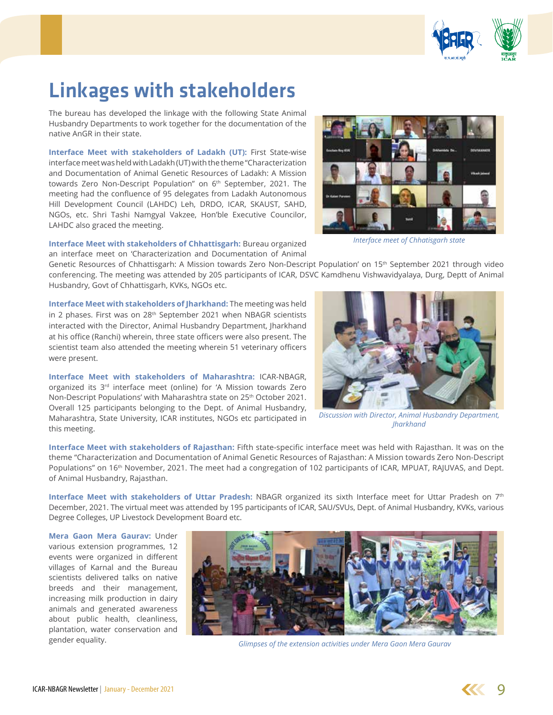

# Linkages with stakeholders

The bureau has developed the linkage with the following State Animal Husbandry Departments to work together for the documentation of the native AnGR in their state.

**Interface Meet with stakeholders of Ladakh (UT):** First State-wise interface meet was held with Ladakh (UT) with the theme "Characterization and Documentation of Animal Genetic Resources of Ladakh: A Mission towards Zero Non-Descript Population" on 6<sup>th</sup> September, 2021. The meeting had the confluence of 95 delegates from Ladakh Autonomous Hill Development Council (LAHDC) Leh, DRDO, ICAR, SKAUST, SAHD, NGOs, etc. Shri Tashi Namgyal Vakzee, Hon'ble Executive Councilor, LAHDC also graced the meeting.



*Interface meet of Chhatisgarh state*

**Interface Meet with stakeholders of Chhattisgarh:** Bureau organized an interface meet on 'Characterization and Documentation of Animal

Genetic Resources of Chhattisgarh: A Mission towards Zero Non-Descript Population' on 15th September 2021 through video conferencing. The meeting was attended by 205 participants of ICAR, DSVC Kamdhenu Vishwavidyalaya, Durg, Deptt of Animal Husbandry, Govt of Chhattisgarh, KVKs, NGOs etc.

**Interface Meet with stakeholders of Jharkhand:** The meeting was held in 2 phases. First was on 28<sup>th</sup> September 2021 when NBAGR scientists interacted with the Director, Animal Husbandry Department, Jharkhand at his office (Ranchi) wherein, three state officers were also present. The scientist team also attended the meeting wherein 51 veterinary officers were present.

**Interface Meet with stakeholders of Maharashtra:** ICAR-NBAGR, organized its 3<sup>rd</sup> interface meet (online) for 'A Mission towards Zero Non-Descript Populations' with Maharashtra state on 25<sup>th</sup> October 2021. Overall 125 participants belonging to the Dept. of Animal Husbandry, Maharashtra, State University, ICAR institutes, NGOs etc participated in this meeting.



*Discussion with Director, Animal Husbandry Department, Jharkhand*

**Interface Meet with stakeholders of Rajasthan:** Fifth state-specific interface meet was held with Rajasthan. It was on the theme "Characterization and Documentation of Animal Genetic Resources of Rajasthan: A Mission towards Zero Non-Descript Populations" on 16<sup>th</sup> November, 2021. The meet had a congregation of 102 participants of ICAR, MPUAT, RAJUVAS, and Dept. of Animal Husbandry, Rajasthan.

**Interface Meet with stakeholders of Uttar Pradesh:** NBAGR organized its sixth Interface meet for Uttar Pradesh on 7th December, 2021. The virtual meet was attended by 195 participants of ICAR, SAU/SVUs, Dept. of Animal Husbandry, KVKs, various Degree Colleges, UP Livestock Development Board etc.

**Mera Gaon Mera Gaurav:** Under various extension programmes, 12 events were organized in different villages of Karnal and the Bureau scientists delivered talks on native breeds and their management, increasing milk production in dairy animals and generated awareness about public health, cleanliness, plantation, water conservation and gender equality.



*Glimpses of the extension activities under Mera Gaon Mera Gaurav*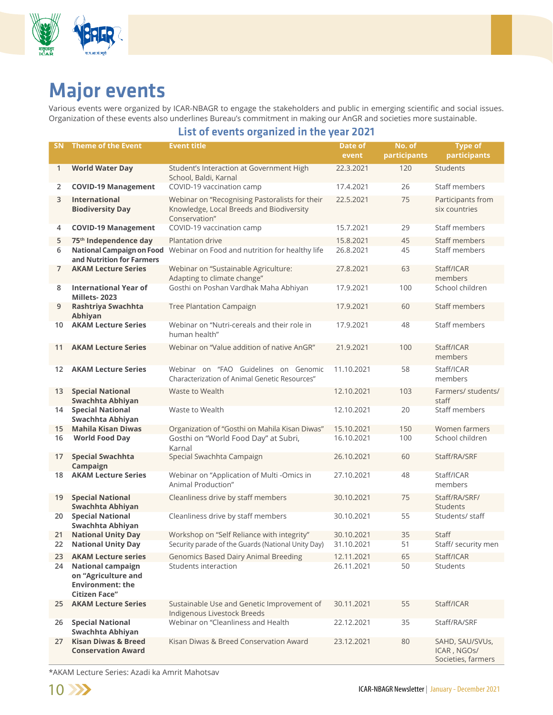

# Major events

Various events were organized by ICAR-NBAGR to engage the stakeholders and public in emerging scientific and social issues. Organization of these events also underlines Bureau's commitment in making our AnGR and societies more sustainable.

#### List of events organized in the year 2021

| <b>SN</b>         | <b>Theme of the Event</b>                                                                          | <b>Event title</b>                                                                                          | Date of<br>event         | No. of<br>participants | <b>Type of</b><br>participants                       |
|-------------------|----------------------------------------------------------------------------------------------------|-------------------------------------------------------------------------------------------------------------|--------------------------|------------------------|------------------------------------------------------|
| 1                 | <b>World Water Day</b>                                                                             | Student's Interaction at Government High<br>School, Baldi, Karnal                                           | 22.3.2021                | 120                    | Students                                             |
| 2                 | <b>COVID-19 Management</b>                                                                         | COVID-19 vaccination camp                                                                                   | 17.4.2021                | 26                     | Staff members                                        |
| 3                 | <b>International</b><br><b>Biodiversity Day</b>                                                    | Webinar on "Recognising Pastoralists for their<br>Knowledge, Local Breeds and Biodiversity<br>Conservation" | 22.5.2021                | 75                     | Participants from<br>six countries                   |
| 4                 | <b>COVID-19 Management</b>                                                                         | COVID-19 vaccination camp                                                                                   | 15.7.2021                | 29                     | Staff members                                        |
| 5                 | 75 <sup>th</sup> Independence day                                                                  | Plantation drive                                                                                            | 15.8.2021                | 45                     | Staff members                                        |
| 6                 | National Campaign on Food<br>and Nutrition for Farmers                                             | Webinar on Food and nutrition for healthy life                                                              | 26.8.2021                | 45                     | Staff members                                        |
| 7                 | <b>AKAM Lecture Series</b>                                                                         | Webinar on "Sustainable Agriculture:<br>Adapting to climate change"                                         | 27.8.2021                | 63                     | Staff/ICAR<br>members                                |
| 8                 | <b>International Year of</b><br>Millets-2023                                                       | Gosthi on Poshan Vardhak Maha Abhiyan                                                                       | 17.9.2021                | 100                    | School children                                      |
| 9                 | Rashtriya Swachhta<br>Abhiyan                                                                      | Tree Plantation Campaign                                                                                    | 17.9.2021                | 60                     | Staff members                                        |
| 10                | <b>AKAM Lecture Series</b>                                                                         | Webinar on "Nutri-cereals and their role in<br>human health"                                                | 17.9.2021                | 48                     | Staff members                                        |
| 11                | <b>AKAM Lecture Series</b>                                                                         | Webinar on "Value addition of native AnGR"                                                                  | 21.9.2021                | 100                    | Staff/ICAR<br>members                                |
| $12 \overline{ }$ | <b>AKAM Lecture Series</b>                                                                         | Webinar on "FAO Guidelines on Genomic<br>Characterization of Animal Genetic Resources"                      | 11.10.2021               | 58                     | Staff/ICAR<br>members                                |
| 13                | <b>Special National</b><br>Swachhta Abhiyan                                                        | Waste to Wealth                                                                                             | 12.10.2021               | 103                    | Farmers/ students/<br>staff                          |
| 14                | <b>Special National</b><br>Swachhta Abhiyan                                                        | Waste to Wealth                                                                                             | 12.10.2021               | 20                     | Staff members                                        |
| 15<br>16          | <b>Mahila Kisan Diwas</b><br><b>World Food Day</b>                                                 | Organization of "Gosthi on Mahila Kisan Diwas"<br>Gosthi on "World Food Day" at Subri,<br>Karnal            | 15.10.2021<br>16.10.2021 | 150<br>100             | Women farmers<br>School children                     |
| 17                | <b>Special Swachhta</b><br>Campaign                                                                | Special Swachhta Campaign                                                                                   | 26.10.2021               | 60                     | Staff/RA/SRF                                         |
| 18                | <b>AKAM Lecture Series</b>                                                                         | Webinar on "Application of Multi -Omics in<br>Animal Production"                                            | 27.10.2021               | 48                     | Staff/ICAR<br>members                                |
| 19                | <b>Special National</b><br>Swachhta Abhiyan                                                        | Cleanliness drive by staff members                                                                          | 30.10.2021               | 75                     | Staff/RA/SRF/<br>Students                            |
| 20                | <b>Special National</b><br>Swachhta Abhiyan                                                        | Cleanliness drive by staff members                                                                          | 30.10.2021               | 55                     | Students/ staff                                      |
| 21                | <b>National Unity Day</b>                                                                          | Workshop on "Self Reliance with integrity"                                                                  | 30.10.2021               | 35                     | Staff                                                |
| 22                | <b>National Unity Day</b>                                                                          | Security parade of the Guards (National Unity Day)                                                          | 31.10.2021               | 51                     | Staff/ security men                                  |
| 23<br>24          | <b>AKAM Lecture series</b>                                                                         | <b>Genomics Based Dairy Animal Breeding</b><br>Students interaction                                         | 12.11.2021               | 65<br>50               | Staff/ICAR<br>Students                               |
|                   | <b>National campaign</b><br>on "Agriculture and<br><b>Environment: the</b><br><b>Citizen Face"</b> |                                                                                                             | 26.11.2021               |                        |                                                      |
| 25                | <b>AKAM Lecture Series</b>                                                                         | Sustainable Use and Genetic Improvement of<br>Indigenous Livestock Breeds                                   | 30.11.2021               | 55                     | Staff/ICAR                                           |
| 26                | <b>Special National</b><br>Swachhta Abhiyan                                                        | Webinar on "Cleanliness and Health                                                                          | 22.12.2021               | 35                     | Staff/RA/SRF                                         |
| 27                | <b>Kisan Diwas &amp; Breed</b><br><b>Conservation Award</b>                                        | Kisan Diwas & Breed Conservation Award                                                                      | 23.12.2021               | 80                     | SAHD, SAU/SVUs,<br>ICAR, NGOS/<br>Societies, farmers |

\*AKAM Lecture Series: Azadi ka Amrit Mahotsav

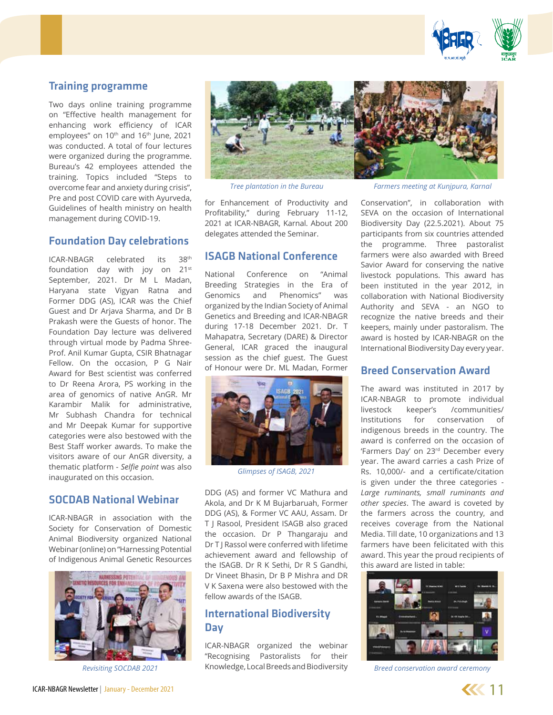

## Training programme

Two days online training programme on "Effective health management for enhancing work efficiency of ICAR employees" on 10<sup>th</sup> and 16<sup>th</sup> June, 2021 was conducted. A total of four lectures were organized during the programme. Bureau's 42 employees attended the training. Topics included "Steps to overcome fear and anxiety during crisis", Pre and post COVID care with Ayurveda, Guidelines of health ministry on health management during COVID-19.

### Foundation Day celebrations

ICAR-NBAGR celebrated its 38th foundation day with joy on 21st September, 2021. Dr M L Madan, Haryana state Vigyan Ratna and Former DDG (AS), ICAR was the Chief Guest and Dr Arjava Sharma, and Dr B Prakash were the Guests of honor. The Foundation Day lecture was delivered through virtual mode by Padma Shree-Prof. Anil Kumar Gupta, CSIR Bhatnagar Fellow. On the occasion, P G Nair Award for Best scientist was conferred to Dr Reena Arora, PS working in the area of genomics of native AnGR. Mr Karambir Malik for administrative, Mr Subhash Chandra for technical and Mr Deepak Kumar for supportive categories were also bestowed with the Best Staff worker awards. To make the visitors aware of our AnGR diversity, a thematic platform - *Selfie point* was also inaugurated on this occasion.

#### SOCDAB National Webinar

ICAR-NBAGR in association with the Society for Conservation of Domestic Animal Biodiversity organized National Webinar (online) on "Harnessing Potential of Indigenous Animal Genetic Resources



*Revisiting SOCDAB 2021*



for Enhancement of Productivity and Profitability," during February 11-12, 2021 at ICAR-NBAGR, Karnal. About 200 delegates attended the Seminar.

### ISAGB National Conference

National Conference on "Animal Breeding Strategies in the Era of Genomics and Phenomics" was organized by the Indian Society of Animal Genetics and Breeding and ICAR-NBAGR during 17-18 December 2021. Dr. T Mahapatra, Secretary (DARE) & Director General, ICAR graced the inaugural session as the chief guest. The Guest of Honour were Dr. ML Madan, Former



*Glimpses of ISAGB, 2021*

DDG (AS) and former VC Mathura and Akola, and Dr K M Bujarbaruah, Former DDG (AS), & Former VC AAU, Assam. Dr T J Rasool, President ISAGB also graced the occasion. Dr P Thangaraju and Dr T | Rassol were conferred with lifetime achievement award and fellowship of the ISAGB. Dr R K Sethi, Dr R S Gandhi, Dr Vineet Bhasin, Dr B P Mishra and DR V K Saxena were also bestowed with the fellow awards of the ISAGB.

# International Biodiversity Day

ICAR-NBAGR organized the webinar "Recognising Pastoralists for their Knowledge, Local Breeds and Biodiversity

*Tree plantation in the Bureau Farmers meeting at Kunjpura, Karnal*

Conservation", in collaboration with SEVA on the occasion of International Biodiversity Day (22.5.2021). About 75 participants from six countries attended the programme. Three pastoralist farmers were also awarded with Breed Savior Award for conserving the native livestock populations. This award has been instituted in the year 2012, in collaboration with National Biodiversity Authority and SEVA - an NGO to recognize the native breeds and their keepers, mainly under pastoralism. The award is hosted by ICAR-NBAGR on the International Biodiversity Day every year.

#### Breed Conservation Award

The award was instituted in 2017 by ICAR-NBAGR to promote individual livestock keeper's /communities/ Institutions for conservation of indigenous breeds in the country. The award is conferred on the occasion of 'Farmers Day' on 23rd December every year. The award carries a cash Prize of Rs. 10,000/- and a certificate/citation is given under the three categories - *Large ruminants, small ruminants and other species*. The award is coveted by the farmers across the country, and receives coverage from the National Media. Till date, 10 organizations and 13 farmers have been felicitated with this award. This year the proud recipients of this award are listed in table:



*Breed conservation award ceremony*